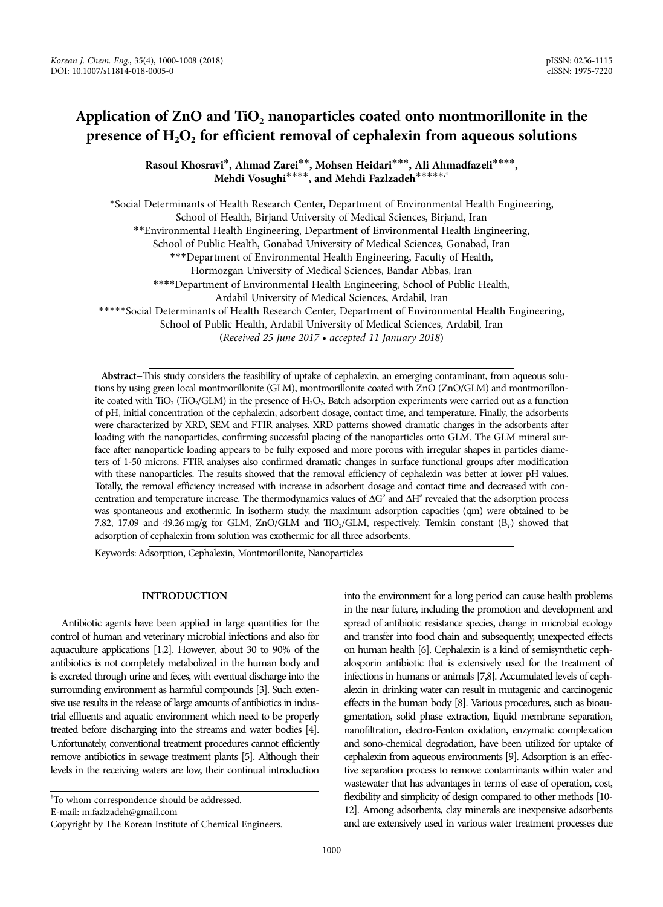# Application of ZnO and TiO<sub>2</sub> nanoparticles coated onto montmorillonite in the presence of H<sub>2</sub>O<sub>2</sub> for efficient removal of cephalexin from aqueous solutions

**Rasoul Khosravi**\***, Ahmad Zarei**\*\***, Mohsen Heidari**\*\*\***, Ali Ahmadfazeli**\*\*\*\***, Mehdi Vosughi**\*\*\*\***, and Mehdi Fazlzadeh**\*\*\*\*\***,†**

\*Social Determinants of Health Research Center, Department of Environmental Health Engineering, School of Health, Birjand University of Medical Sciences, Birjand, Iran \*\*Environmental Health Engineering, Department of Environmental Health Engineering, School of Public Health, Gonabad University of Medical Sciences, Gonabad, Iran \*\*\*Department of Environmental Health Engineering, Faculty of Health, Hormozgan University of Medical Sciences, Bandar Abbas, Iran \*\*\*\*Department of Environmental Health Engineering, School of Public Health, Ardabil University of Medical Sciences, Ardabil, Iran \*\*\*\*\*Social Determinants of Health Research Center, Department of Environmental Health Engineering, School of Public Health, Ardabil University of Medical Sciences, Ardabil, Iran

(Received 25 June 2017 • accepted 11 January 2018)

Abstract-This study considers the feasibility of uptake of cephalexin, an emerging contaminant, from aqueous solutions by using green local montmorillonite (GLM), montmorillonite coated with ZnO (ZnO/GLM) and montmorillonite coated with TiO<sub>2</sub> (TiO<sub>2</sub>/GLM) in the presence of H<sub>2</sub>O<sub>2</sub>. Batch adsorption experiments were carried out as a function of pH, initial concentration of the cephalexin, adsorbent dosage, contact time, and temperature. Finally, the adsorbents were characterized by XRD, SEM and FTIR analyses. XRD patterns showed dramatic changes in the adsorbents after loading with the nanoparticles, confirming successful placing of the nanoparticles onto GLM. The GLM mineral surface after nanoparticle loading appears to be fully exposed and more porous with irregular shapes in particles diameters of 1-50 microns. FTIR analyses also confirmed dramatic changes in surface functional groups after modification with these nanoparticles. The results showed that the removal efficiency of cephalexin was better at lower pH values. Totally, the removal efficiency increased with increase in adsorbent dosage and contact time and decreased with concentration and temperature increase. The thermodynamics values of  $\Delta G^o$  and  $\Delta H^o$  revealed that the adsorption process was spontaneous and exothermic. In isotherm study, the maximum adsorption capacities (qm) were obtained to be 7.82, 17.09 and 49.26 mg/g for GLM, ZnO/GLM and TiO<sub>2</sub>/GLM, respectively. Temkin constant  $(B_T)$  showed that adsorption of cephalexin from solution was exothermic for all three adsorbents.

Keywords: Adsorption, Cephalexin, Montmorillonite, Nanoparticles

# **INTRODUCTION**

Antibiotic agents have been applied in large quantities for the control of human and veterinary microbial infections and also for aquaculture applications [1,2]. However, about 30 to 90% of the antibiotics is not completely metabolized in the human body and is excreted through urine and feces, with eventual discharge into the surrounding environment as harmful compounds [3]. Such extensive use results in the release of large amounts of antibiotics in industrial effluents and aquatic environment which need to be properly treated before discharging into the streams and water bodies [4]. Unfortunately, conventional treatment procedures cannot efficiently remove antibiotics in sewage treatment plants [5]. Although their levels in the receiving waters are low, their continual introduction

E-mail: m.fazlzadeh@gmail.com

into the environment for a long period can cause health problems in the near future, including the promotion and development and spread of antibiotic resistance species, change in microbial ecology and transfer into food chain and subsequently, unexpected effects on human health [6]. Cephalexin is a kind of semisynthetic cephalosporin antibiotic that is extensively used for the treatment of infections in humans or animals [7,8]. Accumulated levels of cephalexin in drinking water can result in mutagenic and carcinogenic effects in the human body [8]. Various procedures, such as bioaugmentation, solid phase extraction, liquid membrane separation, nanofiltration, electro-Fenton oxidation, enzymatic complexation and sono-chemical degradation, have been utilized for uptake of cephalexin from aqueous environments [9]. Adsorption is an effective separation process to remove contaminants within water and wastewater that has advantages in terms of ease of operation, cost, flexibility and simplicity of design compared to other methods [10- 12]. Among adsorbents, clay minerals are inexpensive adsorbents and are extensively used in various water treatment processes due

<sup>†</sup> To whom correspondence should be addressed.

Copyright by The Korean Institute of Chemical Engineers.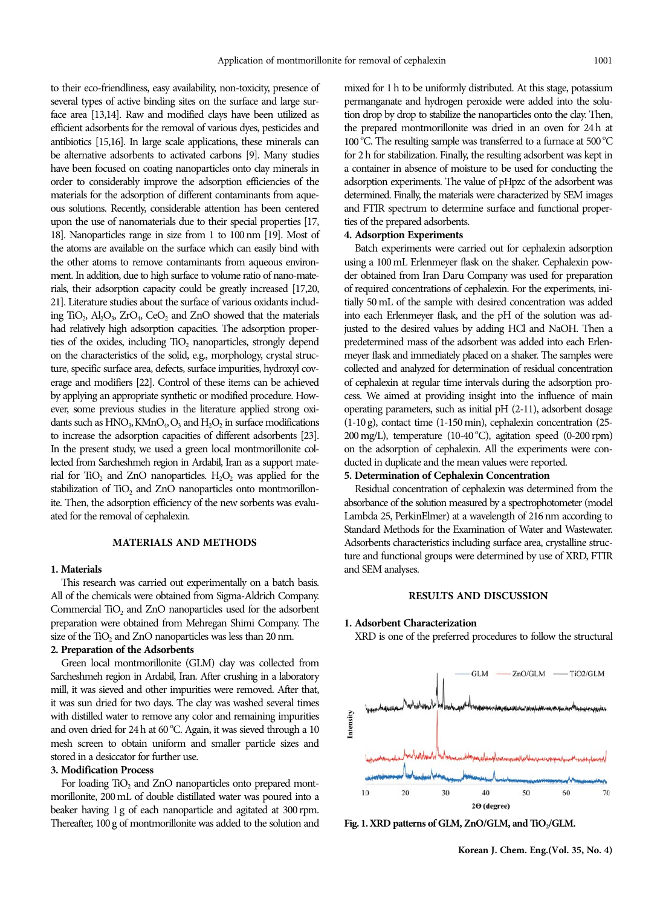to their eco-friendliness, easy availability, non-toxicity, presence of several types of active binding sites on the surface and large surface area [13,14]. Raw and modified clays have been utilized as efficient adsorbents for the removal of various dyes, pesticides and antibiotics [15,16]. In large scale applications, these minerals can be alternative adsorbents to activated carbons [9]. Many studies have been focused on coating nanoparticles onto clay minerals in order to considerably improve the adsorption efficiencies of the materials for the adsorption of different contaminants from aqueous solutions. Recently, considerable attention has been centered upon the use of nanomaterials due to their special properties [17, 18]. Nanoparticles range in size from 1 to 100 nm [19]. Most of the atoms are available on the surface which can easily bind with the other atoms to remove contaminants from aqueous environment. In addition, due to high surface to volume ratio of nano-materials, their adsorption capacity could be greatly increased [17,20, 21]. Literature studies about the surface of various oxidants including TiO<sub>2</sub>,  $Al_2O_3$ ,  $ZrO_4$ ,  $CeO_2$  and  $ZnO$  showed that the materials had relatively high adsorption capacities. The adsorption properties of the oxides, including  $TiO<sub>2</sub>$  nanoparticles, strongly depend on the characteristics of the solid, e.g., morphology, crystal structure, specific surface area, defects, surface impurities, hydroxyl coverage and modifiers [22]. Control of these items can be achieved by applying an appropriate synthetic or modified procedure. However, some previous studies in the literature applied strong oxidants such as  $HNO<sub>3</sub>$ ,  $KMnO<sub>4</sub>$ ,  $O<sub>3</sub>$  and  $H<sub>2</sub>O<sub>2</sub>$  in surface modifications to increase the adsorption capacities of different adsorbents [23]. In the present study, we used a green local montmorillonite collected from Sarcheshmeh region in Ardabil, Iran as a support material for TiO<sub>2</sub> and ZnO nanoparticles.  $H_2O_2$  was applied for the stabilization of TiO<sub>2</sub> and ZnO nanoparticles onto montmorillonite. Then, the adsorption efficiency of the new sorbents was evaluated for the removal of cephalexin.

# **MATERIALS AND METHODS**

#### **1. Materials**

This research was carried out experimentally on a batch basis. All of the chemicals were obtained from Sigma-Aldrich Company. Commercial  $TiO<sub>2</sub>$  and  $ZnO$  nanoparticles used for the adsorbent preparation were obtained from Mehregan Shimi Company. The size of the  $TiO<sub>2</sub>$  and ZnO nanoparticles was less than 20 nm.

# **2. Preparation of the Adsorbents**

Green local montmorillonite (GLM) clay was collected from Sarcheshmeh region in Ardabil, Iran. After crushing in a laboratory mill, it was sieved and other impurities were removed. After that, it was sun dried for two days. The clay was washed several times with distilled water to remove any color and remaining impurities and oven dried for 24 h at 60 °C. Again, it was sieved through a 10 mesh screen to obtain uniform and smaller particle sizes and stored in a desiccator for further use.

#### **3. Modification Process**

For loading  $TiO<sub>2</sub>$  and ZnO nanoparticles onto prepared montmorillonite, 200 mL of double distillated water was poured into a beaker having 1 g of each nanoparticle and agitated at 300 rpm. Thereafter, 100 g of montmorillonite was added to the solution and mixed for 1 h to be uniformly distributed. At this stage, potassium permanganate and hydrogen peroxide were added into the solution drop by drop to stabilize the nanoparticles onto the clay. Then, the prepared montmorillonite was dried in an oven for 24 h at 100 °C. The resulting sample was transferred to a furnace at 500 °C for 2 h for stabilization. Finally, the resulting adsorbent was kept in a container in absence of moisture to be used for conducting the adsorption experiments. The value of pHpzc of the adsorbent was determined. Finally, the materials were characterized by SEM images and FTIR spectrum to determine surface and functional properties of the prepared adsorbents.

#### **4. Adsorption Experiments**

Batch experiments were carried out for cephalexin adsorption using a 100 mL Erlenmeyer flask on the shaker. Cephalexin powder obtained from Iran Daru Company was used for preparation of required concentrations of cephalexin. For the experiments, initially 50 mL of the sample with desired concentration was added into each Erlenmeyer flask, and the pH of the solution was adjusted to the desired values by adding HCl and NaOH. Then a predetermined mass of the adsorbent was added into each Erlenmeyer flask and immediately placed on a shaker. The samples were collected and analyzed for determination of residual concentration of cephalexin at regular time intervals during the adsorption process. We aimed at providing insight into the influence of main operating parameters, such as initial pH (2-11), adsorbent dosage (1-10 g), contact time (1-150 min), cephalexin concentration (25- 200 mg/L), temperature (10-40 °C), agitation speed (0-200 rpm) on the adsorption of cephalexin. All the experiments were conducted in duplicate and the mean values were reported.

## **5. Determination of Cephalexin Concentration**

Residual concentration of cephalexin was determined from the absorbance of the solution measured by a spectrophotometer (model Lambda 25, PerkinElmer) at a wavelength of 216 nm according to Standard Methods for the Examination of Water and Wastewater. Adsorbents characteristics including surface area, crystalline structure and functional groups were determined by use of XRD, FTIR and SEM analyses.

## **RESULTS AND DISCUSSION**

#### **1. Adsorbent Characterization**

XRD is one of the preferred procedures to follow the structural



Fig. 1. XRD patterns of GLM, ZnO/GLM, and TiO<sub>2</sub>/GLM.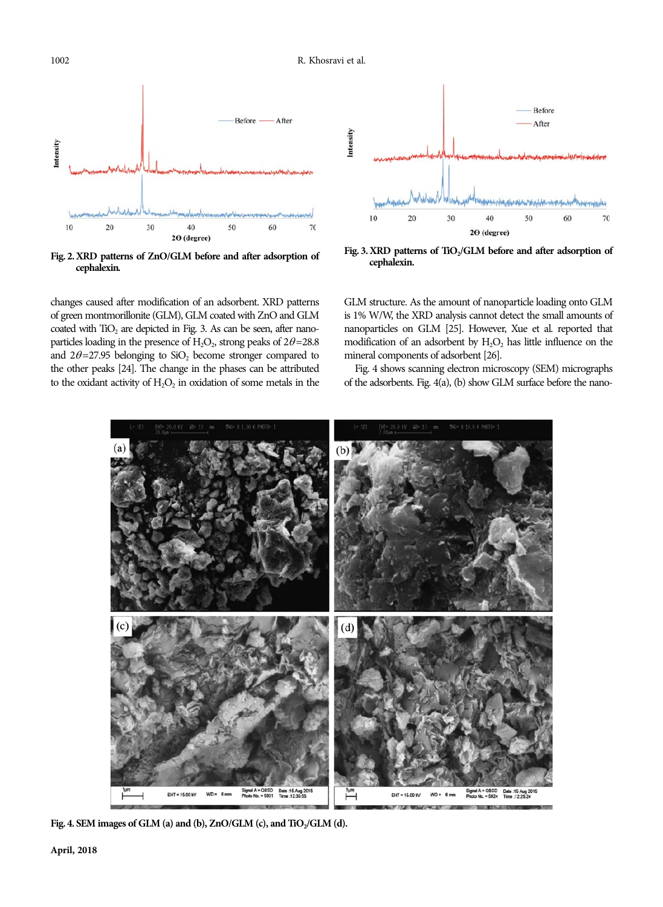

**Fig. 2. XRD patterns of ZnO/GLM before and after adsorption of cephalexin.**

changes caused after modification of an adsorbent. XRD patterns of green montmorillonite (GLM), GLM coated with ZnO and GLM coated with  $T_{1O_2}$  are depicted in Fig. 3. As can be seen, after nanoparticles loading in the presence of  $H_2O_2$ , strong peaks of  $2\theta = 28.8$ and  $2\theta = 27.95$  belonging to SiO<sub>2</sub> become stronger compared to the other peaks [24]. The change in the phases can be attributed to the oxidant activity of  $H_2O_2$  in oxidation of some metals in the



Fig. 3. XRD patterns of TiO<sub>2</sub>/GLM before and after adsorption of **cephalexin.**

GLM structure. As the amount of nanoparticle loading onto GLM is 1% W/W, the XRD analysis cannot detect the small amounts of nanoparticles on GLM [25]. However, Xue et al. reported that modification of an adsorbent by  $H_2O_2$  has little influence on the mineral components of adsorbent [26].

Fig. 4 shows scanning electron microscopy (SEM) micrographs of the adsorbents. Fig. 4(a), (b) show GLM surface before the nano-



Fig. 4. SEM images of GLM (a) and (b), ZnO/GLM (c), and TiO<sub>2</sub>/GLM (d).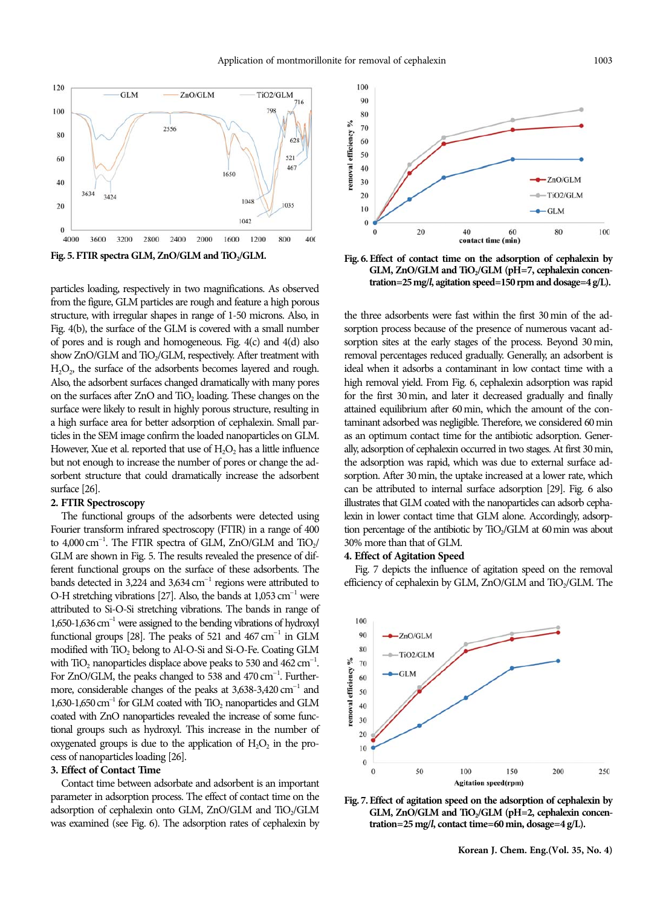

particles loading, respectively in two magnifications. As observed from the figure, GLM particles are rough and feature a high porous structure, with irregular shapes in range of 1-50 microns. Also, in Fig. 4(b), the surface of the GLM is covered with a small number of pores and is rough and homogeneous. Fig. 4(c) and 4(d) also show  $ZnO/GLM$  and  $TiO<sub>2</sub>/GLM$ , respectively. After treatment with  $H<sub>2</sub>O<sub>2</sub>$ , the surface of the adsorbents becomes layered and rough. Also, the adsorbent surfaces changed dramatically with many pores on the surfaces after ZnO and TiO<sub>2</sub> loading. These changes on the surface were likely to result in highly porous structure, resulting in a high surface area for better adsorption of cephalexin. Small particles in the SEM image confirm the loaded nanoparticles on GLM. However, Xue et al. reported that use of  $H<sub>2</sub>O<sub>2</sub>$  has a little influence but not enough to increase the number of pores or change the adsorbent structure that could dramatically increase the adsorbent surface [26].

## **2. FTIR Spectroscopy**

The functional groups of the adsorbents were detected using Fourier transform infrared spectroscopy (FTIR) in a range of 400 to  $4,000 \text{ cm}^{-1}$ . The FTIR spectra of GLM, ZnO/GLM and TiO<sub>2</sub>/ GLM are shown in Fig. 5. The results revealed the presence of different functional groups on the surface of these adsorbents. The bands detected in 3,224 and 3,634  $cm^{-1}$  regions were attributed to O-H stretching vibrations [27]. Also, the bands at  $1,053$  cm<sup>-1</sup> were attributed to Si-O-Si stretching vibrations. The bands in range of 1,650-1,636 cm<sup>-1</sup> were assigned to the bending vibrations of hydroxyl functional groups [28]. The peaks of 521 and  $467 \text{ cm}^{-1}$  in GLM modified with TiO<sub>2</sub> belong to Al-O-Si and Si-O-Fe. Coating GLM with  $\text{TiO}_2$  nanoparticles displace above peaks to 530 and 462 cm<sup>-1</sup>. For ZnO/GLM, the peaks changed to  $538$  and  $470 \text{ cm}^{-1}$ . Furthermore, considerable changes of the peaks at  $3,638-3,420$  cm<sup>-1</sup> and 1,630-1,650  $\text{cm}^{-1}$  for GLM coated with TiO<sub>2</sub> nanoparticles and GLM coated with ZnO nanoparticles revealed the increase of some functional groups such as hydroxyl. This increase in the number of oxygenated groups is due to the application of  $H_2O_2$  in the process of nanoparticles loading [26].

## **3. Effect of Contact Time**

Contact time between adsorbate and adsorbent is an important parameter in adsorption process. The effect of contact time on the adsorption of cephalexin onto GLM, ZnO/GLM and TiO<sub>2</sub>/GLM was examined (see Fig. 6). The adsorption rates of cephalexin by



Fig. 5. FTIR spectra GLM, ZnO/GLM and TiO<sub>2</sub>/GLM. Fig. 6. Effect of contact time on the adsorption of cephalexin by GLM, ZnO/GLM and TiO<sub>2</sub>/GLM (pH=7, cephalexin concen**tration=25mg/***l***, agitation speed=150rpm and dosage=4g/L).**

the three adsorbents were fast within the first 30 min of the adsorption process because of the presence of numerous vacant adsorption sites at the early stages of the process. Beyond 30 min, removal percentages reduced gradually. Generally, an adsorbent is ideal when it adsorbs a contaminant in low contact time with a high removal yield. From Fig. 6, cephalexin adsorption was rapid for the first 30 min, and later it decreased gradually and finally attained equilibrium after 60 min, which the amount of the contaminant adsorbed was negligible. Therefore, we considered 60 min as an optimum contact time for the antibiotic adsorption. Generally, adsorption of cephalexin occurred in two stages. At first 30 min, the adsorption was rapid, which was due to external surface adsorption. After 30 min, the uptake increased at a lower rate, which can be attributed to internal surface adsorption [29]. Fig. 6 also illustrates that GLM coated with the nanoparticles can adsorb cephalexin in lower contact time that GLM alone. Accordingly, adsorption percentage of the antibiotic by  $T_{1O_2} / GLM$  at 60 min was about 30% more than that of GLM.

## **4. Effect of Agitation Speed**

Fig. 7 depicts the influence of agitation speed on the removal efficiency of cephalexin by GLM,  $ZnO/GLM$  and  $TiO<sub>2</sub>/GLM$ . The



**Fig. 7. Effect of agitation speed on the adsorption of cephalexin by** GLM, ZnO/GLM and TiO<sub>2</sub>/GLM (pH=2, cephalexin concen**tration=25 mg/***l***, contact time=60 min, dosage=4 g/L).**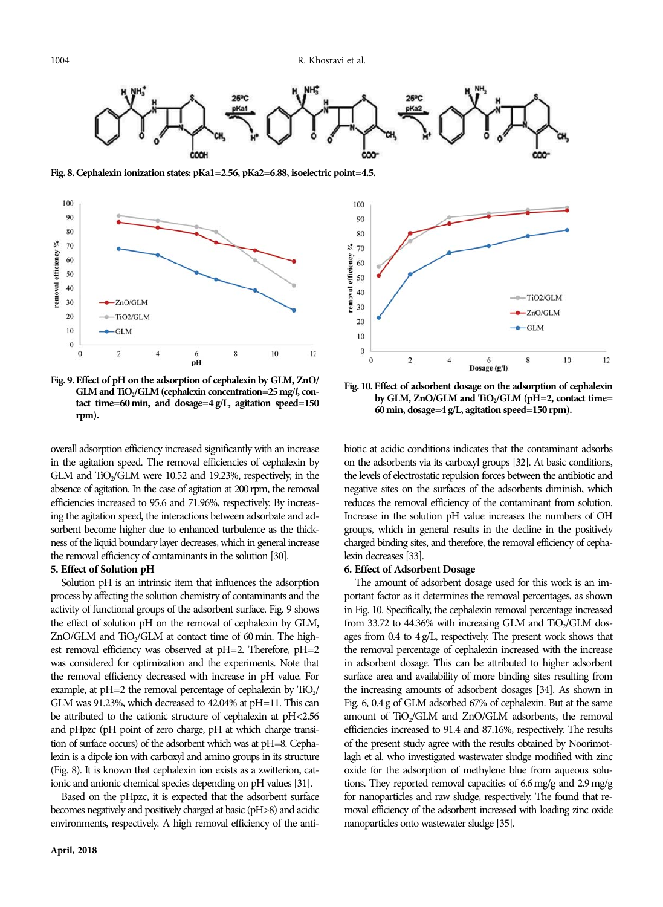

**Fig. 8. Cephalexin ionization states: pKa1=2.56, pKa2=6.88, isoelectric point=4.5.**



**Fig. 9. Effect of pH on the adsorption of cephalexin by GLM, ZnO/** GLM and TiO<sub>2</sub>/GLM (cephalexin concentration=25 mg/*l*, con**tact time=60 min, and dosage=4 g/L, agitation speed=150 rpm).**

overall adsorption efficiency increased significantly with an increase in the agitation speed. The removal efficiencies of cephalexin by GLM and  $TiO<sub>2</sub>/GLM$  were 10.52 and 19.23%, respectively, in the absence of agitation. In the case of agitation at 200rpm, the removal efficiencies increased to 95.6 and 71.96%, respectively. By increasing the agitation speed, the interactions between adsorbate and adsorbent become higher due to enhanced turbulence as the thickness of the liquid boundary layer decreases, which in general increase the removal efficiency of contaminants in the solution [30].

## **5. Effect of Solution pH**

Solution pH is an intrinsic item that influences the adsorption process by affecting the solution chemistry of contaminants and the activity of functional groups of the adsorbent surface. Fig. 9 shows the effect of solution pH on the removal of cephalexin by GLM, ZnO/GLM and TiO<sub>2</sub>/GLM at contact time of 60 min. The highest removal efficiency was observed at pH=2. Therefore, pH=2 was considered for optimization and the experiments. Note that the removal efficiency decreased with increase in pH value. For example, at  $pH=2$  the removal percentage of cephalexin by  $TiO_2/$ GLM was 91.23%, which decreased to 42.04% at pH=11. This can be attributed to the cationic structure of cephalexin at pH<2.56 and pHpzc (pH point of zero charge, pH at which charge transition of surface occurs) of the adsorbent which was at pH=8. Cephalexin is a dipole ion with carboxyl and amino groups in its structure (Fig. 8). It is known that cephalexin ion exists as a zwitterion, cationic and anionic chemical species depending on pH values [31].

Based on the pHpzc, it is expected that the adsorbent surface becomes negatively and positively charged at basic (pH>8) and acidic environments, respectively. A high removal efficiency of the anti-



**Fig. 10. Effect of adsorbent dosage on the adsorption of cephalexin** by GLM, ZnO/GLM and TiO<sub>2</sub>/GLM (pH=2, contact time= **60 min, dosage=4 g/L, agitation speed=150 rpm).**

biotic at acidic conditions indicates that the contaminant adsorbs on the adsorbents via its carboxyl groups [32]. At basic conditions, the levels of electrostatic repulsion forces between the antibiotic and negative sites on the surfaces of the adsorbents diminish, which reduces the removal efficiency of the contaminant from solution. Increase in the solution pH value increases the numbers of OH groups, which in general results in the decline in the positively charged binding sites, and therefore, the removal efficiency of cephalexin decreases [33].

# **6. Effect of Adsorbent Dosage**

The amount of adsorbent dosage used for this work is an important factor as it determines the removal percentages, as shown in Fig. 10. Specifically, the cephalexin removal percentage increased from 33.72 to 44.36% with increasing GLM and  $TiO<sub>2</sub>/GLM$  dosages from 0.4 to 4 g/L, respectively. The present work shows that the removal percentage of cephalexin increased with the increase in adsorbent dosage. This can be attributed to higher adsorbent surface area and availability of more binding sites resulting from the increasing amounts of adsorbent dosages [34]. As shown in Fig. 6, 0.4 g of GLM adsorbed 67% of cephalexin. But at the same amount of TiO<sub>2</sub>/GLM and ZnO/GLM adsorbents, the removal efficiencies increased to 91.4 and 87.16%, respectively. The results of the present study agree with the results obtained by Noorimotlagh et al. who investigated wastewater sludge modified with zinc oxide for the adsorption of methylene blue from aqueous solutions. They reported removal capacities of 6.6 mg/g and 2.9 mg/g for nanoparticles and raw sludge, respectively. The found that removal efficiency of the adsorbent increased with loading zinc oxide nanoparticles onto wastewater sludge [35].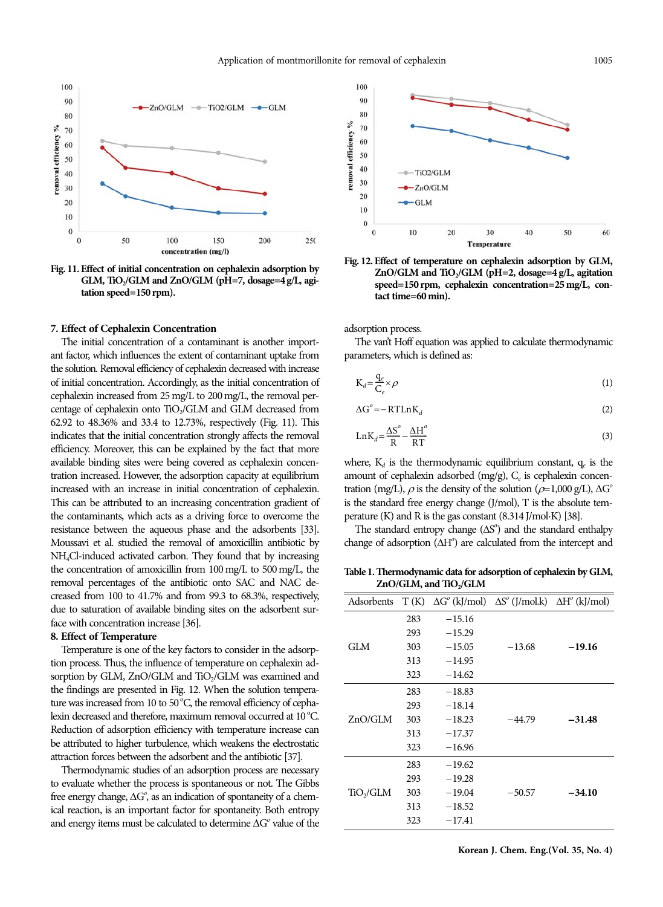

**Fig. 11. Effect of initial concentration on cephalexin adsorption by** GLM, TiO<sub>2</sub>/GLM and ZnO/GLM (pH=7, dosage=4 g/L, agi**tation speed=150 rpm).**

#### **7. Effect of Cephalexin Concentration**

The initial concentration of a contaminant is another important factor, which influences the extent of contaminant uptake from the solution. Removal efficiency of cephalexin decreased with increase of initial concentration. Accordingly, as the initial concentration of cephalexin increased from 25 mg/L to 200 mg/L, the removal percentage of cephalexin onto  $T_{1O_2}$ /GLM and GLM decreased from 62.92 to 48.36% and 33.4 to 12.73%, respectively (Fig. 11). This indicates that the initial concentration strongly affects the removal efficiency. Moreover, this can be explained by the fact that more available binding sites were being covered as cephalexin concentration increased. However, the adsorption capacity at equilibrium increased with an increase in initial concentration of cephalexin. This can be attributed to an increasing concentration gradient of the contaminants, which acts as a driving force to overcome the resistance between the aqueous phase and the adsorbents [33]. Moussavi et al. studied the removal of amoxicillin antibiotic by NH4Cl-induced activated carbon. They found that by increasing the concentration of amoxicillin from 100 mg/L to 500 mg/L, the removal percentages of the antibiotic onto SAC and NAC decreased from 100 to 41.7% and from 99.3 to 68.3%, respectively, due to saturation of available binding sites on the adsorbent surface with concentration increase [36].

#### **8. Effect of Temperature**

Temperature is one of the key factors to consider in the adsorption process. Thus, the influence of temperature on cephalexin adsorption by GLM, ZnO/GLM and TiO<sub>2</sub>/GLM was examined and the findings are presented in Fig. 12. When the solution temperature was increased from 10 to 50 °C, the removal efficiency of cephalexin decreased and therefore, maximum removal occurred at 10 °C. Reduction of adsorption efficiency with temperature increase can be attributed to higher turbulence, which weakens the electrostatic attraction forces between the adsorbent and the antibiotic [37].

Thermodynamic studies of an adsorption process are necessary to evaluate whether the process is spontaneous or not. The Gibbs free energy change,  $\Delta G^{\circ}$ , as an indication of spontaneity of a chemical reaction, is an important factor for spontaneity. Both entropy and energy items must be calculated to determine  $\Delta G^{\circ}$  value of the



**Fig. 12. Effect of temperature on cephalexin adsorption by GLM,** ZnO/GLM and TiO<sub>2</sub>/GLM (pH=2, dosage=4 g/L, agitation **speed=150 rpm, cephalexin concentration=25 mg/L, contact time=60 min).**

adsorption process.

The van't Hoff equation was applied to calculate thermodynamic parameters, which is defined as:

$$
K_d = \frac{q_e}{C_e} \times \rho \tag{1}
$$

$$
\Delta G^o = -RTLnK_d \tag{2}
$$

$$
LnK_d = \frac{\Delta S^o}{R} - \frac{\Delta H^o}{RT}
$$
\n(3)

where,  $K_d$  is the thermodynamic equilibrium constant,  $q_e$  is the amount of cephalexin adsorbed (mg/g),  $C_e$  is cephalexin concentration (mg/L),  $\rho$  is the density of the solution ( $\rho$ =1,000 g/L),  $\Delta G^{\circ}$ is the standard free energy change (J/mol), T is the absolute temperature (K) and R is the gas constant (8.314 J/mol·K) [38].

The standard entropy change  $(\Delta S^{\circ})$  and the standard enthalpy change of adsorption  $(\Delta H^{\circ})$  are calculated from the intercept and

**Table 1. Thermodynamic data for adsorption of cephalexin by GLM,** ZnO/GLM, and TiO<sub>2</sub>/GLM

| Adsorbents            |     | $T(K) \Delta G^{\circ}$ (kJ/mol) $\Delta S^{\circ}$ (J/mol.k) $\Delta H^{\circ}$ (kJ/mol) |          |          |
|-----------------------|-----|-------------------------------------------------------------------------------------------|----------|----------|
| GLM                   | 283 | $-15.16$                                                                                  |          |          |
|                       | 293 | $-15.29$                                                                                  |          |          |
|                       | 303 | $-15.05$                                                                                  | $-13.68$ | $-19.16$ |
|                       | 313 | $-14.95$                                                                                  |          |          |
|                       | 323 | $-14.62$                                                                                  |          |          |
| ZnO/GLM               | 283 | $-18.83$                                                                                  |          |          |
|                       | 293 | $-18.14$                                                                                  |          |          |
|                       | 303 | $-18.23$                                                                                  | $-44.79$ | $-31.48$ |
|                       | 313 | $-17.37$                                                                                  |          |          |
|                       | 323 | $-16.96$                                                                                  |          |          |
| TiO <sub>2</sub> /GLM | 283 | $-19.62$                                                                                  |          |          |
|                       | 293 | $-19.28$                                                                                  |          |          |
|                       | 303 | $-19.04$                                                                                  | $-50.57$ | $-34.10$ |
|                       | 313 | $-18.52$                                                                                  |          |          |
|                       | 323 | $-17.41$                                                                                  |          |          |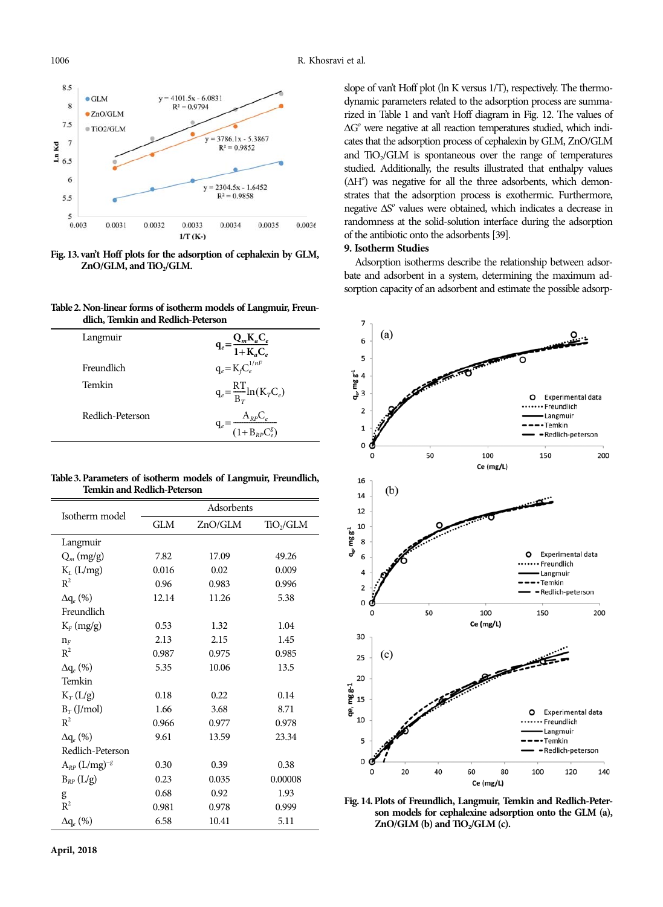

**Fig. 13. van't Hoff plots for the adsorption of cephalexin by GLM,** ZnO/GLM, and TiO<sub>2</sub>/GLM.

**Table 2. Non-linear forms of isotherm models of Langmuir, Freundlich, Temkin and Redlich-Peterson**

| Langmuir         | $q_e = \frac{Q_m K_a C_e}{1 + K_a C_e}$ |
|------------------|-----------------------------------------|
| Freundlich       | $q_e = K_f C_e^{1/nF}$                  |
| Temkin           | $q_e = \frac{RT}{B_T} \ln(K_T C_e)$     |
| Redlich-Peterson | $=\frac{A_{RP}C_e}{(1+B_{RP}C_e^g)}$    |

**Table 3. Parameters of isotherm models of Langmuir, Freundlich, Temkin and Redlich-Peterson**

| Isotherm model         | Adsorbents |         |                       |  |  |
|------------------------|------------|---------|-----------------------|--|--|
|                        | GLM        | ZnO/GLM | TiO <sub>2</sub> /GLM |  |  |
| Langmuir               |            |         |                       |  |  |
| $Q_m$ (mg/g)           | 7.82       | 17.09   | 49.26                 |  |  |
| $K_L$ (L/mg)           | 0.016      | 0.02    | 0.009                 |  |  |
| $R^2$                  | 0.96       | 0.983   | 0.996                 |  |  |
| $\Delta q_e$ (%)       | 12.14      | 11.26   | 5.38                  |  |  |
| Freundlich             |            |         |                       |  |  |
| $K_F$ (mg/g)           | 0.53       | 1.32    | 1.04                  |  |  |
| $n_F$                  | 2.13       | 2.15    | 1.45                  |  |  |
| $R^2$                  | 0.987      | 0.975   | 0.985                 |  |  |
| $\Delta q_e$ (%)       | 5.35       | 10.06   | 13.5                  |  |  |
| Temkin                 |            |         |                       |  |  |
| $K_T(L/g)$             | 0.18       | 0.22    | 0.14                  |  |  |
| $B_T$ (J/mol)          | 1.66       | 3.68    | 8.71                  |  |  |
| $R^2$                  | 0.966      | 0.977   | 0.978                 |  |  |
| $\Delta q_e$ (%)       | 9.61       | 13.59   | 23.34                 |  |  |
| Redlich-Peterson       |            |         |                       |  |  |
| $A_{RP}$ $(L/mg)^{-g}$ | 0.30       | 0.39    | 0.38                  |  |  |
| $B_{RP}$ (L/g)         | 0.23       | 0.035   | 0.00008               |  |  |
| g                      | 0.68       | 0.92    | 1.93                  |  |  |
| $R^2$                  | 0.981      | 0.978   | 0.999                 |  |  |
| $\Delta q_e$ (%)       | 6.58       | 10.41   | 5.11                  |  |  |

slope of van't Hoff plot (ln K versus 1/T), respectively. The thermodynamic parameters related to the adsorption process are summarized in Table 1 and van't Hoff diagram in Fig. 12. The values of  $\Delta G^{\circ}$  were negative at all reaction temperatures studied, which indicates that the adsorption process of cephalexin by GLM, ZnO/GLM and  $TiO<sub>2</sub>/GLM$  is spontaneous over the range of temperatures studied. Additionally, the results illustrated that enthalpy values  $(\Delta H^{\circ})$  was negative for all the three adsorbents, which demonstrates that the adsorption process is exothermic. Furthermore, negative  $\Delta S^{\circ}$  values were obtained, which indicates a decrease in randomness at the solid-solution interface during the adsorption of the antibiotic onto the adsorbents [39].

# **9. Isotherm Studies**

Adsorption isotherms describe the relationship between adsorbate and adsorbent in a system, determining the maximum adsorption capacity of an adsorbent and estimate the possible adsorp-



**Fig. 14. Plots of Freundlich, Langmuir, Temkin and Redlich-Peterson models for cephalexine adsorption onto the GLM (a),** ZnO/GLM (b) and TiO<sub>2</sub>/GLM (c).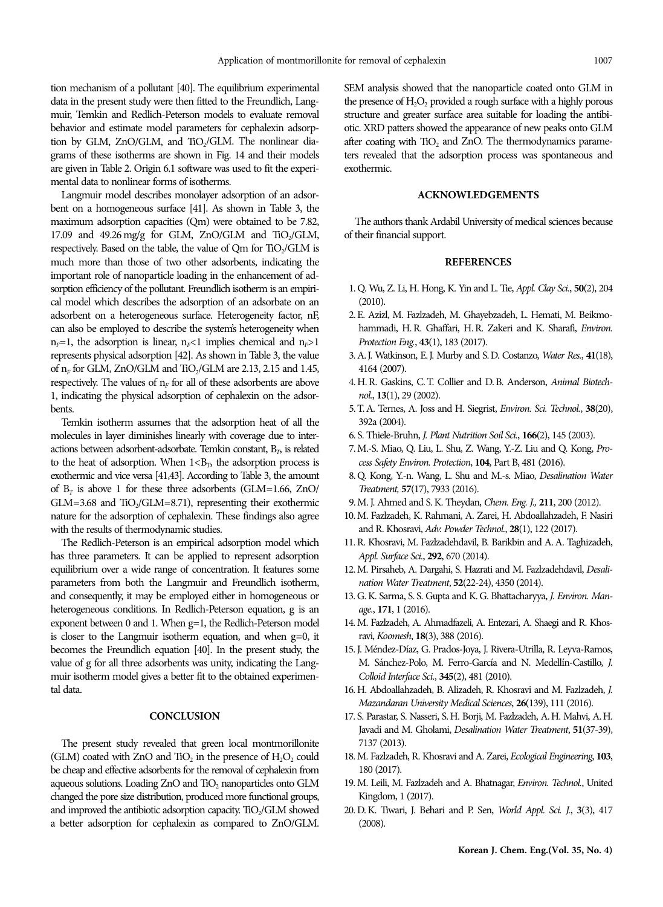tion mechanism of a pollutant [40]. The equilibrium experimental data in the present study were then fitted to the Freundlich, Langmuir, Temkin and Redlich-Peterson models to evaluate removal behavior and estimate model parameters for cephalexin adsorption by GLM, ZnO/GLM, and TiO<sub>2</sub>/GLM. The nonlinear diagrams of these isotherms are shown in Fig. 14 and their models are given in Table 2. Origin 6.1 software was used to fit the experimental data to nonlinear forms of isotherms.

Langmuir model describes monolayer adsorption of an adsorbent on a homogeneous surface [41]. As shown in Table 3, the maximum adsorption capacities (Qm) were obtained to be 7.82, 17.09 and 49.26 mg/g for GLM, ZnO/GLM and TiO<sub>2</sub>/GLM, respectively. Based on the table, the value of Qm for  $TiO<sub>2</sub>/GLM$  is much more than those of two other adsorbents, indicating the important role of nanoparticle loading in the enhancement of adsorption efficiency of the pollutant. Freundlich isotherm is an empirical model which describes the adsorption of an adsorbate on an adsorbent on a heterogeneous surface. Heterogeneity factor, nF, can also be employed to describe the system's heterogeneity when  $n_F=1$ , the adsorption is linear,  $n_F<1$  implies chemical and  $n_F>1$ represents physical adsorption [42]. As shown in Table 3, the value of  $n_F$  for GLM, ZnO/GLM and TiO<sub>2</sub>/GLM are 2.13, 2.15 and 1.45, respectively. The values of  $n_F$  for all of these adsorbents are above 1, indicating the physical adsorption of cephalexin on the adsorbents.

Temkin isotherm assumes that the adsorption heat of all the molecules in layer diminishes linearly with coverage due to interactions between adsorbent-adsorbate. Temkin constant,  $B_T$ , is related to the heat of adsorption. When  $1 \lt B<sub>T</sub>$ , the adsorption process is exothermic and vice versa [41,43]. According to Table 3, the amount of  $B_T$  is above 1 for these three adsorbents (GLM=1.66, ZnO/  $GLM=3.68$  and  $TiO<sub>2</sub>/GLM=8.71$ ), representing their exothermic nature for the adsorption of cephalexin. These findings also agree with the results of thermodynamic studies.

The Redlich-Peterson is an empirical adsorption model which has three parameters. It can be applied to represent adsorption equilibrium over a wide range of concentration. It features some parameters from both the Langmuir and Freundlich isotherm, and consequently, it may be employed either in homogeneous or heterogeneous conditions. In Redlich-Peterson equation, g is an exponent between 0 and 1. When g=1, the Redlich-Peterson model is closer to the Langmuir isotherm equation, and when g=0, it becomes the Freundlich equation [40]. In the present study, the value of g for all three adsorbents was unity, indicating the Langmuir isotherm model gives a better fit to the obtained experimental data.

## **CONCLUSION**

The present study revealed that green local montmorillonite (GLM) coated with ZnO and  $TiO<sub>2</sub>$  in the presence of  $H<sub>2</sub>O<sub>2</sub>$  could be cheap and effective adsorbents for the removal of cephalexin from aqueous solutions. Loading ZnO and TiO<sub>2</sub> nanoparticles onto GLM changed the pore size distribution, produced more functional groups, and improved the antibiotic adsorption capacity. TiO<sub>2</sub>/GLM showed a better adsorption for cephalexin as compared to ZnO/GLM. SEM analysis showed that the nanoparticle coated onto GLM in the presence of  $H_2O_2$  provided a rough surface with a highly porous structure and greater surface area suitable for loading the antibiotic. XRD patters showed the appearance of new peaks onto GLM after coating with TiO<sub>2</sub> and ZnO. The thermodynamics parameters revealed that the adsorption process was spontaneous and exothermic.

#### **ACKNOWLEDGEMENTS**

The authors thank Ardabil University of medical sciences because of their financial support.

#### **REFERENCES**

- 1. Q. Wu, Z. Li, H. Hong, K. Yin and L. Tie, Appl. Clay Sci., **50**(2), 204 (2010).
- 2. E. Azizl, M. Fazlzadeh, M. Ghayebzadeh, L. Hemati, M. Beikmohammadi, H. R. Ghaffari, H. R. Zakeri and K. Sharafi, Environ. Protection Eng., **43**(1), 183 (2017).
- 3. A. J. Watkinson, E. J. Murby and S. D. Costanzo, Water Res., **41**(18), 4164 (2007).
- 4. H. R. Gaskins, C. T. Collier and D. B. Anderson, Animal Biotechnol., **13**(1), 29 (2002).
- 5. T. A. Ternes, A. Joss and H. Siegrist, Environ. Sci. Technol., **38**(20), 392a (2004).
- 6. S. Thiele‐Bruhn, J. Plant Nutrition Soil Sci., **166**(2), 145 (2003).
- 7. M.-S. Miao, Q. Liu, L. Shu, Z. Wang, Y.-Z. Liu and Q. Kong, Process Safety Environ. Protection, **104**, Part B, 481 (2016).
- 8. Q. Kong, Y.-n. Wang, L. Shu and M.-s. Miao, Desalination Water Treatment, **57**(17), 7933 (2016).
- 9. M. J. Ahmed and S. K. Theydan, Chem. Eng. J., **211**, 200 (2012).
- 10. M. Fazlzadeh, K. Rahmani, A. Zarei, H. Abdoallahzadeh, F. Nasiri and R. Khosravi, Adv. Powder Technol., **28**(1), 122 (2017).
- 11. R. Khosravi, M. Fazlzadehdavil, B. Barikbin and A. A. Taghizadeh, Appl. Surface Sci., **292**, 670 (2014).
- 12. M. Pirsaheb, A. Dargahi, S. Hazrati and M. Fazlzadehdavil, Desalination Water Treatment, **52**(22-24), 4350 (2014).
- 13. G. K. Sarma, S. S. Gupta and K. G. Bhattacharyya, J. Environ. Manage., **171**, 1 (2016).
- 14. M. Fazlzadeh, A. Ahmadfazeli, A. Entezari, A. Shaegi and R. Khosravi, Koomesh, **18**(3), 388 (2016).
- 15. J. Méndez-Díaz, G. Prados-Joya, J. Rivera-Utrilla, R. Leyva-Ramos, M. Sánchez-Polo, M. Ferro-García and N. Medellín-Castillo, J. Colloid Interface Sci., **345**(2), 481 (2010).
- 16. H. Abdoallahzadeh, B. Alizadeh, R. Khosravi and M. Fazlzadeh, J. Mazandaran University Medical Sciences, **26**(139), 111 (2016).
- 17. S. Parastar, S. Nasseri, S. H. Borji, M. Fazlzadeh, A. H. Mahvi, A. H. Javadi and M. Gholami, Desalination Water Treatment, **51**(37-39), 7137 (2013).
- 18. M. Fazlzadeh, R. Khosravi and A. Zarei, Ecological Engineering, **103**, 180 (2017).
- 19. M. Leili, M. Fazlzadeh and A. Bhatnagar, Environ. Technol., United Kingdom, 1 (2017).
- 20. D. K. Tiwari, J. Behari and P. Sen, World Appl. Sci. J., **3**(3), 417 (2008).